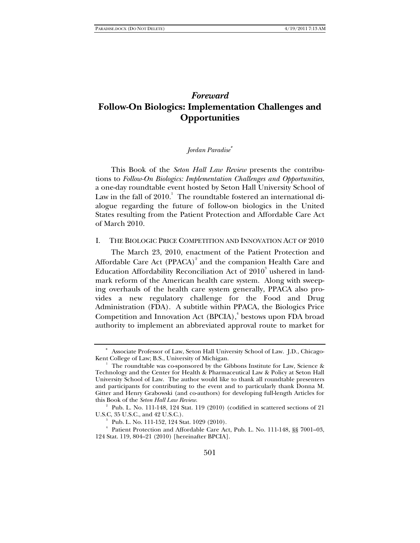# *Foreward*  **Follow-On Biologics: Implementation Challenges and Opportunities**

#### *Jordan Paradise*<sup>∗</sup>

This Book of the *Seton Hall Law Review* presents the contributions to *Follow-On Biologics: Implementation Challenges and Opportunities*, a one-day roundtable event hosted by Seton Hall University School of Law in the fall of  $2010.^{\mathrm{l}}$  The roundtable fostered an international dialogue regarding the future of follow-on biologics in the United States resulting from the Patient Protection and Affordable Care Act of March 2010.

#### I. THE BIOLOGIC PRICE COMPETITION AND INNOVATION ACT OF 2010

The March 23, 2010, enactment of the Patient Protection and Affordable Care Act (PPACA) $^2$  and the companion Health Care and Education Affordability Reconciliation Act of 2010 $^{\rm 3}$  ushered in landmark reform of the American health care system. Along with sweeping overhauls of the health care system generally, PPACA also provides a new regulatory challenge for the Food and Drug Administration (FDA). A subtitle within PPACA, the Biologics Price Competition and Innovation Act (BPCIA),<sup>4</sup> bestows upon FDA broad authority to implement an abbreviated approval route to market for

<sup>∗</sup> Associate Professor of Law, Seton Hall University School of Law. J.D., Chicago-Kent College of Law; B.S., University of Michigan.

<sup>&</sup>lt;sup>1</sup> The roundtable was co-sponsored by the Gibbons Institute for Law, Science & Technology and the Center for Health & Pharmaceutical Law & Policy at Seton Hall University School of Law. The author would like to thank all roundtable presenters and participants for contributing to the event and to particularly thank Donna M. Gitter and Henry Grabowski (and co-authors) for developing full-length Articles for this Book of the *Seton Hall Law Review*.

 $2^{\circ}$  Pub. L. No. 111-148, 124 Stat. 119 (2010) (codified in scattered sections of 21 U.S.C, 35 U.S.C., and 42 U.S.C.). 3

 $P$ ub. L. No. 111-152, 124 Stat. 1029 (2010).

<sup>4</sup> Patient Protection and Affordable Care Act, Pub. L. No. 111-148, §§ 7001–03, 124 Stat. 119, 804–21 (2010) [hereinafter BPCIA].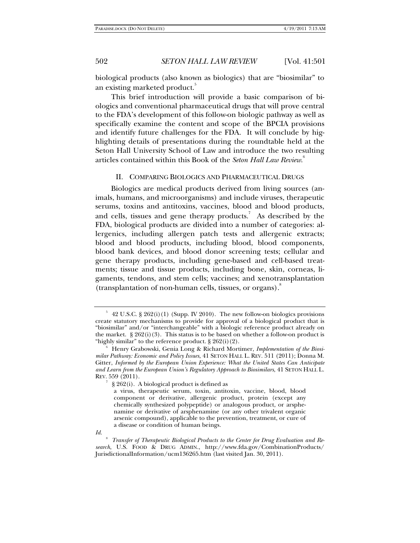biological products (also known as biologics) that are "biosimilar" to an existing marketed product.

This brief introduction will provide a basic comparison of biologics and conventional pharmaceutical drugs that will prove central to the FDA's development of this follow-on biologic pathway as well as specifically examine the content and scope of the BPCIA provisions and identify future challenges for the FDA. It will conclude by highlighting details of presentations during the roundtable held at the Seton Hall University School of Law and introduce the two resulting articles contained within this Book of the *Seton Hall Law Review*. 6

#### II. COMPARING BIOLOGICS AND PHARMACEUTICAL DRUGS

Biologics are medical products derived from living sources (animals, humans, and microorganisms) and include viruses, therapeutic serums, toxins and antitoxins, vaccines, blood and blood products, and cells, tissues and gene therapy products.<sup>7</sup> As described by the FDA, biological products are divided into a number of categories: allergenics, including allergen patch tests and allergenic extracts; blood and blood products, including blood, blood components, blood bank devices, and blood donor screening tests; cellular and gene therapy products, including gene-based and cell-based treatments; tissue and tissue products, including bone, skin, corneas, ligaments, tendons, and stem cells; vaccines; and xenotransplantation  $(transplantation of non-human cells, tissues, or organs).<sup>8</sup>$ 

<sup>5</sup> 42 U.S.C. § 262(i)(1) (Supp. IV 2010). The new follow-on biologics provisions create statutory mechanisms to provide for approval of a biological product that is "biosimilar" and/or "interchangeable" with a biologic reference product already on the market.  $\S 262(i)(3)$ . This status is to be based on whether a follow-on product is "highly similar" to the reference product.  $\S 262(i)(2)$ .

Henry Grabowski, Genia Long & Richard Mortimer, *Implementation of the Biosimilar Pathway: Economic and Policy Issues*, 41 SETON HALL L. REV. 511 (2011); Donna M. Gitter, *Informed by the European Union Experience: What the United States Can Anticipate and Learn from the European Union's Regulatory Approach to Biosimilars*, 41 SETON HALL L. REV. 559 (2011).

<sup>7</sup> § 262(i). A biological product is defined as

a virus, therapeutic serum, toxin, antitoxin, vaccine, blood, blood component or derivative, allergenic product, protein (except any chemically synthesized polypeptide) or analogous product, or arsphenamine or derivative of arsphenamine (or any other trivalent organic arsenic compound), applicable to the prevention, treatment, or cure of a disease or condition of human beings.

*Id.*

<sup>&</sup>lt;sup>8</sup> Transfer of Therapeutic Biological Products to the Center for Drug Evaluation and Re*search*, U.S. FOOD & DRUG ADMIN., http://www.fda.gov/CombinationProducts/ JurisdictionalInformation/ucm136265.htm (last visited Jan. 30, 2011).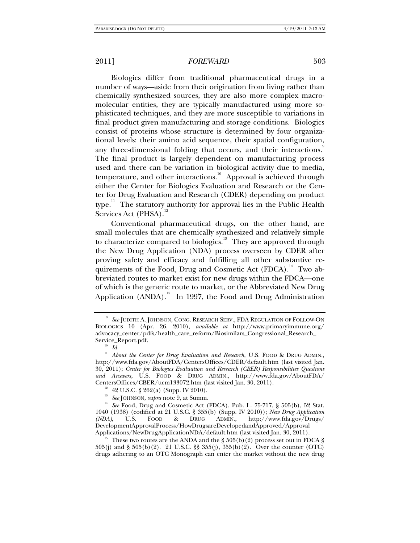Biologics differ from traditional pharmaceutical drugs in a number of ways—aside from their origination from living rather than chemically synthesized sources, they are also more complex macromolecular entities, they are typically manufactured using more sophisticated techniques, and they are more susceptible to variations in final product given manufacturing and storage conditions. Biologics consist of proteins whose structure is determined by four organizational levels: their amino acid sequence, their spatial configuration, any three-dimensional folding that occurs, and their interactions. The final product is largely dependent on manufacturing process used and there can be variation in biological activity due to media, temperature, and other interactions.<sup>10</sup> Approval is achieved through either the Center for Biologics Evaluation and Research or the Center for Drug Evaluation and Research (CDER) depending on product type.<sup>11</sup> The statutory authority for approval lies in the Public Health Services Act (PHSA).<sup>12</sup>

Conventional pharmaceutical drugs, on the other hand, are small molecules that are chemically synthesized and relatively simple to characterize compared to biologics.<sup>13</sup> They are approved through the New Drug Application (NDA) process overseen by CDER after proving safety and efficacy and fulfilling all other substantive requirements of the Food, Drug and Cosmetic Act  $(FDCA)^{14}$  Two abbreviated routes to market exist for new drugs within the FDCA—one of which is the generic route to market, or the Abbreviated New Drug Application  $(ANDA)$ .<sup>15</sup> In 1997, the Food and Drug Administration

<sup>9</sup>  *See* JUDITH A. JOHNSON, CONG. RESEARCH SERV., FDA REGULATION OF FOLLOW-ON BIOLOGICS 10 (Apr. 26, 2010), *available at* http://www.primaryimmune.org/ advocacy\_center/pdfs/health\_care\_reform/Biosimilars\_Congressional\_Research\_ Service\_Report.pdf.<br><sup>10</sup> *Id.* 

<sup>&</sup>lt;sup>11</sup> About the Center for Drug Evaluation and Research, U.S. FOOD & DRUG ADMIN., http://www.fda.gov/AboutFDA/CentersOffices/CDER/default.htm (last visited Jan. 30, 2011); *Center for Biologics Evaluation and Research (CBER) Responsibilities Questions and Answers*, U.S. FOOD & DRUG ADMIN., http://www.fda.gov/AboutFDA/ CentersOffices/CBER/ucm133072.htm (last visited Jan. 30, 2011).<br><sup>12</sup> 42 U.S.C. § 262(a) (Supp. IV 2010).<br><sup>13</sup> *See* [OHNSON, *supra* note 9, at Summ.

<sup>&</sup>lt;sup>14</sup> See Food, Drug and Cosmetic Act (FDCA), Pub. L. 75-717, § 505(b), 52 Stat. 1040 (1938) (codified at 21 U.S.C. § 355(b) (Supp. IV 2010)); *New Drug Application (NDA)*, U.S. FOOD & DRUG ADMIN., http://www.fda.gov/Drugs/ DevelopmentApprovalProcess/HowDrugsareDevelopedandApproved/Approval

 $A_{15}$  These two routes are the ANDA and the § 505(b)(2) process set out in FDCA § 505(j) and § 505(b)(2). 21 U.S.C. §§ 355(j), 355(b)(2). Over the counter (OTC) drugs adhering to an OTC Monograph can enter the market without the new drug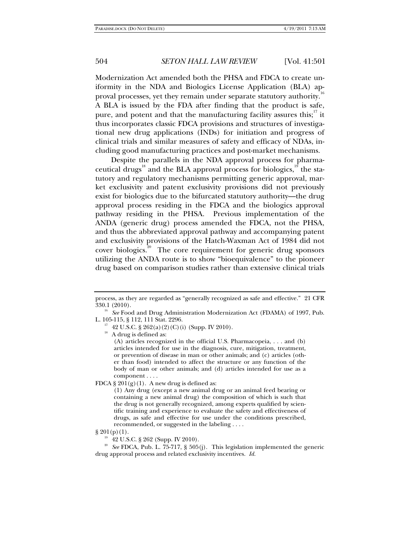Modernization Act amended both the PHSA and FDCA to create uniformity in the NDA and Biologics License Application (BLA) approval processes, yet they remain under separate statutory authority.<sup>16</sup> A BLA is issued by the FDA after finding that the product is safe, pure, and potent and that the manufacturing facility assures this;<sup>17</sup> it thus incorporates classic FDCA provisions and structures of investigational new drug applications (INDs) for initiation and progress of clinical trials and similar measures of safety and efficacy of NDAs, including good manufacturing practices and post-market mechanisms.

Despite the parallels in the NDA approval process for pharmaceutical drugs<sup>18</sup> and the BLA approval process for biologics, $\frac{19}{19}$  the statutory and regulatory mechanisms permitting generic approval, market exclusivity and patent exclusivity provisions did not previously exist for biologics due to the bifurcated statutory authority—the drug approval process residing in the FDCA and the biologics approval pathway residing in the PHSA. Previous implementation of the ANDA (generic drug) process amended the FDCA, not the PHSA, and thus the abbreviated approval pathway and accompanying patent and exclusivity provisions of the Hatch-Waxman Act of 1984 did not cover biologics.<sup>20</sup> The core requirement for generic drug sponsors utilizing the ANDA route is to show "bioequivalence" to the pioneer drug based on comparison studies rather than extensive clinical trials

<sup>16</sup> See Food and Drug Administration Modernization Act (FDAMA) of 1997, Pub. L. 105-115, § 112, 111 Stat. 2296.

<sup>17</sup> 42 U.S.C. § 262(a)(2)(C)(i) (Supp. IV 2010).

 $^{18}\,$  A drug is defined as:

(A) articles recognized in the official U.S. Pharmacopeia, . . . and (b) articles intended for use in the diagnosis, cure, mitigation, treatment, or prevention of disease in man or other animals; and (c) articles (other than food) intended to affect the structure or any function of the body of man or other animals; and (d) articles intended for use as a component . . . .

FDCA §  $201(g)(1)$ . A new drug is defined as:

(1) Any drug (except a new animal drug or an animal feed bearing or containing a new animal drug) the composition of which is such that the drug is not generally recognized, among experts qualified by scientific training and experience to evaluate the safety and effectiveness of drugs, as safe and effective for use under the conditions prescribed, recommended, or suggested in the labeling . . . .

 $\S 201(p)(1)$ .<br><sup>19</sup> 42 U.S.C. § 262 (Supp. IV 2010).

<sup>20</sup> See FDCA, Pub. L. 75-717, § 505(j). This legislation implemented the generic drug approval process and related exclusivity incentives. *Id.* 

process, as they are regarded as "generally recognized as safe and effective." 21 CFR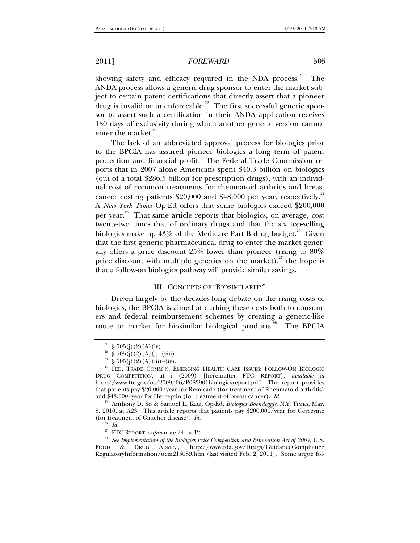showing safety and efficacy required in the NDA process. $21$  The ANDA process allows a generic drug sponsor to enter the market subject to certain patent certifications that directly assert that a pioneer drug is invalid or unenforceable.<sup>22</sup> The first successful generic sponsor to assert such a certification in their ANDA application receives 180 days of exclusivity during which another generic version cannot enter the market.<sup>23</sup>

The lack of an abbreviated approval process for biologics prior to the BPCIA has assured pioneer biologics a long term of patent protection and financial profit. The Federal Trade Commission reports that in 2007 alone Americans spent \$40.3 billion on biologics (out of a total \$286.5 billion for prescription drugs), with an individual cost of common treatments for rheumatoid arthritis and breast cancer costing patients  $$20,000$  and  $$48,000$  per year, respectively.<sup>24</sup> A *New York Times* Op-Ed offers that some biologics exceed \$200,000 per year.<sup>25</sup> That same article reports that biologics, on average, cost twenty-two times that of ordinary drugs and that the six top-selling biologics make up  $43\%$  of the Medicare Part B drug budget.<sup>26</sup> Given that the first generic pharmaceutical drug to enter the market generally offers a price discount 25% lower than pioneer (rising to 80% price discount with multiple generics on the market),<sup>27</sup> the hope is that a follow-on biologics pathway will provide similar savings.

### III. CONCEPTS OF "BIOSIMILARITY"

Driven largely by the decades-long debate on the rising costs of biologics, the BPCIA is aimed at curbing these costs both to consumers and federal reimbursement schemes by creating a generic-like route to market for biosimilar biological products.<sup>26</sup> The BPCIA

<sup>&</sup>lt;sup>21</sup> § 505(j)(2)(A)(iv).

<sup>&</sup>lt;sup>22</sup> § 505(j)(2)(A)(i)–(viii).

<sup>&</sup>lt;sup>23</sup> § 505(j)(2)(A)(iii)–(iv).

<sup>&</sup>lt;sup>24</sup> FED. TRADE COMM'N, EMERGING HEALTH CARE ISSUES: FOLLOW-ON BIOLOGIC DRUG COMPETITION, at i (2009) [hereinafter FTC REPORT], *available at*  http://www.ftc.gov/os/2009/06/P083901biologicsreport.pdf. The report provides that patients pay \$20,000/year for Remicade (for treatment of Rheumatoid arthritis) and \$48,000/year for Herceptin (for treatment of breast cancer). *Id.* 25 Anthony D. So & Samuel L. Katz, Op-Ed, *Biologics Boondoggle*, N.Y. TIMES, Mar.

<sup>8, 2010,</sup> at A23. This article reports that patients pay \$200,000/year for Cerezyme (for treatment of Gaucher disease). *Id.* 

 $^{26}$  *Id.*<br><sup>27</sup> FTC REPORT, supra note 24, at 12.

<sup>&</sup>lt;sup>28</sup> See Implementation of the Biologics Price Competition and Innovation Act of 2009, U.S. FOOD & DRUG ADMIN., http://www.fda.gov/Drugs/GuidanceCompliance RegulatoryInformation/ucm215089.htm (last visited Feb. 2, 2011). Some argue fol-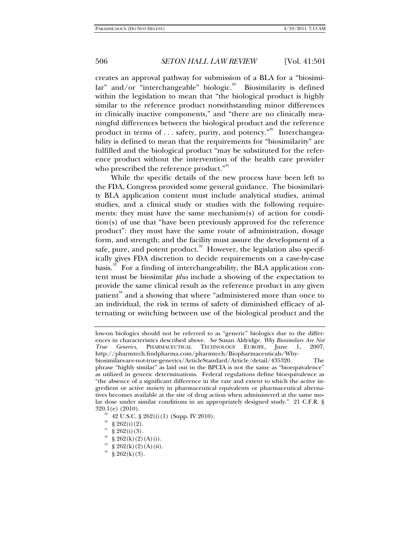creates an approval pathway for submission of a BLA for a "biosimi $lar''$  and/or "interchangeable" biologic.<sup>29</sup> Biosimilarity is defined within the legislation to mean that "the biological product is highly similar to the reference product notwithstanding minor differences in clinically inactive components," and "there are no clinically meaningful differences between the biological product and the reference product in terms of  $\dots$  safety, purity, and potency.<sup>"30</sup> Interchangeability is defined to mean that the requirements for "biosimilarity" are fulfilled and the biological product "may be substituted for the reference product without the intervention of the health care provider who prescribed the reference product."<sup>31</sup>

While the specific details of the new process have been left to the FDA, Congress provided some general guidance. The biosimilarity BLA application content must include analytical studies, animal studies, and a clinical study or studies with the following requirements: they must have the same mechanism(s) of action for condition(s) of use that "have been previously approved for the reference product": they must have the same route of administration, dosage form, and strength; and the facility must assure the development of a safe, pure, and potent product.<sup>32</sup> However, the legislation also specifically gives FDA discretion to decide requirements on a case-by-case basis.<sup>33</sup> For a finding of interchangeability, the BLA application content must be biosimilar *plus* include a showing of the expectation to provide the same clinical result as the reference product in any given patient $34$  and a showing that where "administered more than once to an individual, the risk in terms of safety of diminished efficacy of alternating or switching between use of the biological product and the

low-on biologics should not be referred to as "generic" biologics due to the differences in characteristics described above. *See* Susan Aldridge, *Why Biosimilars Are Not True Generics*, PHARMACEUTICAL TECHNOLOGY EUROPE, June 1, 2007, http://pharmtech.findpharma.com/pharmtech/Biopharmaceuticals/Whybiosimilars-are-not-true-generics/ArticleStandard/Article/detail/435320. The phrase "highly similar" as laid out in the BPCIA is not the same as "bioequivalence" as utilized in generic determinations. Federal regulations define bioequivalence as "the absence of a significant difference in the rate and extent to which the active ingredient or active moiety in pharmaceutical equivalents or pharmaceutical alternatives becomes available at the site of drug action when administered at the same molar dose under similar conditions in an appropriately designed study." 21 C.F.R. §  $320.1(e)$  (2010).<br><sup>29</sup> 42 U.S.C. § 262(i)(1) (Supp. IV 2010).

 $rac{30}{31}$  § 262(i)(2).

 $\S 262(i)(3)$ .

<sup>&</sup>lt;sup>32</sup> § 262(k)(2)(A)(i).<br><sup>33</sup> § 969(b)(9)(A)(i).

 $§ 262(k)(2)(A)(ii).$ 

 $34 \text{ }$  § 262(k)(3).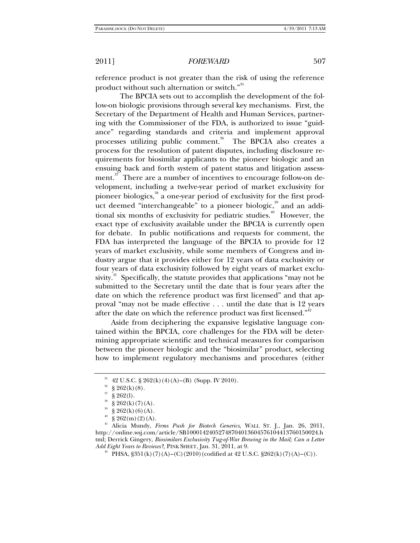reference product is not greater than the risk of using the reference product without such alternation or switch."<sup>35</sup>

The BPCIA sets out to accomplish the development of the follow-on biologic provisions through several key mechanisms. First, the Secretary of the Department of Health and Human Services, partnering with the Commissioner of the FDA, is authorized to issue "guidance" regarding standards and criteria and implement approval processes utilizing public comment.<sup>36</sup> The BPCIA also creates a process for the resolution of patent disputes, including disclosure requirements for biosimilar applicants to the pioneer biologic and an ensuing back and forth system of patent status and litigation assessment.<sup>37</sup> There are a number of incentives to encourage follow-on development, including a twelve-year period of market exclusivity for pioneer biologics,<sup>38</sup> a one-year period of exclusivity for the first product deemed "interchangeable" to a pioneer biologic, $\frac{39}{3}$  and an additional six months of exclusivity for pediatric studies.<sup>40</sup> However, the exact type of exclusivity available under the BPCIA is currently open for debate. In public notifications and requests for comment, the FDA has interpreted the language of the BPCIA to provide for 12 years of market exclusivity, while some members of Congress and industry argue that it provides either for 12 years of data exclusivity or four years of data exclusivity followed by eight years of market exclusivity.<sup>41</sup> Specifically, the statute provides that applications "may not be submitted to the Secretary until the date that is four years after the date on which the reference product was first licensed" and that approval "may not be made effective . . . until the date that is 12 years after the date on which the reference product was first licensed."<sup>42</sup>

Aside from deciphering the expansive legislative language contained within the BPCIA, core challenges for the FDA will be determining appropriate scientific and technical measures for comparison between the pioneer biologic and the "biosimilar" product, selecting how to implement regulatory mechanisms and procedures (either

<sup>&</sup>lt;sup>35</sup> 42 U.S.C. § 262(k)(4)(A)–(B) (Supp. IV 2010).

 $\frac{36}{37}$  § 262(k)(8).

 $$262(l).$ 

 $\S 262(k)(7)(A)$ .

 $\S 262(k)(6)(A)$ .

 $^{40}$  § 262(m)(2)(A).

<sup>41</sup> Alicia Mundy, *Firms Push for Biotech Generics*, WALL ST. J., Jan. 26, 2011, http://online.wsj.com/article/SB10001424052748704013604576104413760150024.h tml; Derrick Gingery, *Biosimilars Exclusivity Tug-of-War Brewing in the Mail; Can a Letter Add Eight Years to Reviews?,* PINK SHEET, Jan. 31, 2011, at 9.<br><sup>42</sup> PHSA, §351(k)(7)(A)–(C)(2010)(codified at 42 U.S.C. §262(k)(7)(A)–(C)).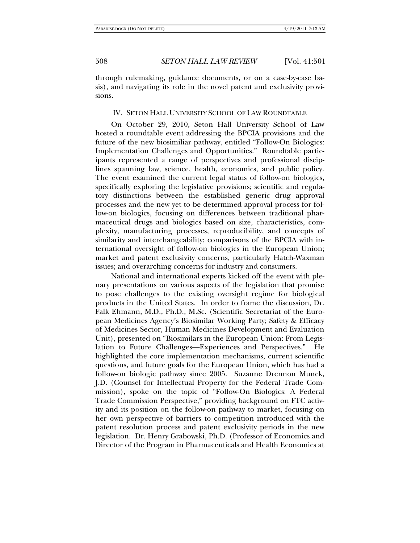through rulemaking, guidance documents, or on a case-by-case basis), and navigating its role in the novel patent and exclusivity provisions.

### IV. SETON HALL UNIVERSITY SCHOOL OF LAW ROUNDTABLE

On October 29, 2010, Seton Hall University School of Law hosted a roundtable event addressing the BPCIA provisions and the future of the new biosimiliar pathway, entitled "Follow-On Biologics: Implementation Challenges and Opportunities." Roundtable participants represented a range of perspectives and professional disciplines spanning law, science, health, economics, and public policy. The event examined the current legal status of follow-on biologics, specifically exploring the legislative provisions; scientific and regulatory distinctions between the established generic drug approval processes and the new yet to be determined approval process for follow-on biologics, focusing on differences between traditional pharmaceutical drugs and biologics based on size, characteristics, complexity, manufacturing processes, reproducibility, and concepts of similarity and interchangeability; comparisons of the BPCIA with international oversight of follow-on biologics in the European Union; market and patent exclusivity concerns, particularly Hatch-Waxman issues; and overarching concerns for industry and consumers.

National and international experts kicked off the event with plenary presentations on various aspects of the legislation that promise to pose challenges to the existing oversight regime for biological products in the United States. In order to frame the discussion, Dr. Falk Ehmann, M.D., Ph.D., M.Sc. (Scientific Secretariat of the European Medicines Agency's Biosimilar Working Party; Safety & Efficacy of Medicines Sector, Human Medicines Development and Evaluation Unit), presented on "Biosimilars in the European Union: From Legislation to Future Challenges—Experiences and Perspectives." He highlighted the core implementation mechanisms, current scientific questions, and future goals for the European Union, which has had a follow-on biologic pathway since 2005. Suzanne Drennon Munck, J.D. (Counsel for Intellectual Property for the Federal Trade Commission), spoke on the topic of "Follow-On Biologics: A Federal Trade Commission Perspective," providing background on FTC activity and its position on the follow-on pathway to market, focusing on her own perspective of barriers to competition introduced with the patent resolution process and patent exclusivity periods in the new legislation. Dr. Henry Grabowski, Ph.D. (Professor of Economics and Director of the Program in Pharmaceuticals and Health Economics at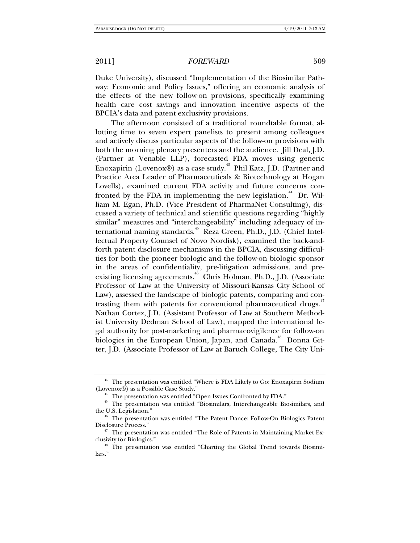Duke University), discussed "Implementation of the Biosimilar Pathway: Economic and Policy Issues," offering an economic analysis of the effects of the new follow-on provisions, specifically examining health care cost savings and innovation incentive aspects of the BPCIA's data and patent exclusivity provisions.

The afternoon consisted of a traditional roundtable format, allotting time to seven expert panelists to present among colleagues and actively discuss particular aspects of the follow-on provisions with both the morning plenary presenters and the audience. Jill Deal, J.D. (Partner at Venable LLP), forecasted FDA moves using generic Enoxapirin (Lovenox®) as a case study.<sup>43</sup> Phil Katz, J.D. (Partner and Practice Area Leader of Pharmaceuticals & Biotechnology at Hogan Lovells), examined current FDA activity and future concerns confronted by the FDA in implementing the new legislation.<sup>44</sup> Dr. William M. Egan, Ph.D. (Vice President of PharmaNet Consulting), discussed a variety of technical and scientific questions regarding "highly similar" measures and "interchangeability" including adequacy of international naming standards.<sup>45</sup> Reza Green, Ph.D., J.D. (Chief Intellectual Property Counsel of Novo Nordisk), examined the back-andforth patent disclosure mechanisms in the BPCIA, discussing difficulties for both the pioneer biologic and the follow-on biologic sponsor in the areas of confidentiality, pre-litigation admissions, and preexisting licensing agreements.<sup>46</sup> Chris Holman, Ph.D., J.D. (Associate Professor of Law at the University of Missouri-Kansas City School of Law), assessed the landscape of biologic patents, comparing and contrasting them with patents for conventional pharmaceutical drugs.<sup>47</sup> Nathan Cortez, J.D. (Assistant Professor of Law at Southern Methodist University Dedman School of Law), mapped the international legal authority for post-marketing and pharmacovigilence for follow-on biologics in the European Union, Japan, and Canada.<sup>48</sup> Donna Gitter, J.D. (Associate Professor of Law at Baruch College, The City Uni-

<sup>&</sup>lt;sup>43</sup> The presentation was entitled "Where is FDA Likely to Go: Enoxapirin Sodium (Lovenox®) as a Possible Case Study."

 $^{44}$  The presentation was entitled "Open Issues Confronted by FDA."

<sup>&</sup>lt;sup>45</sup> The presentation was entitled "Biosimilars, Interchangeable Biosimilars, and the U.S. Legislation."

<sup>&</sup>lt;sup>46</sup> The presentation was entitled "The Patent Dance: Follow-On Biologics Patent Disclosure Process." 47 The presentation was entitled "The Role of Patents in Maintaining Market Ex-

clusivity for Biologics." 48 The presentation was entitled "Charting the Global Trend towards Biosimi-

lars."